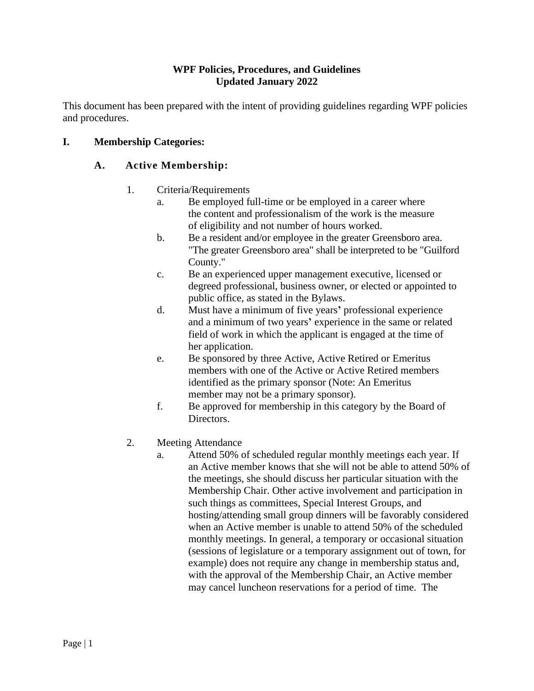## **WPF Policies, Procedures, and Guidelines Updated January 2022**

This document has been prepared with the intent of providing guidelines regarding WPF policies and procedures.

# **I. Membership Categories:**

# **A. Active Membership:**

- 1. Criteria/Requirements
	- a. Be employed full-time or be employed in a career where the content and professionalism of the work is the measure of eligibility and not number of hours worked.
	- b. Be a resident and/or employee in the greater Greensboro area. "The greater Greensboro area" shall be interpreted to be "Guilford County."
	- c. Be an experienced upper management executive, licensed or degreed professional, business owner, or elected or appointed to public office, as stated in the Bylaws.
	- d. Must have a minimum of five years**'** professional experience and a minimum of two years**'** experience in the same or related field of work in which the applicant is engaged at the time of her application.
	- e. Be sponsored by three Active, Active Retired or Emeritus members with one of the Active or Active Retired members identified as the primary sponsor (Note: An Emeritus member may not be a primary sponsor).
	- f. Be approved for membership in this category by the Board of Directors.
- 2. Meeting Attendance
	- a. Attend 50% of scheduled regular monthly meetings each year. If an Active member knows that she will not be able to attend 50% of the meetings, she should discuss her particular situation with the Membership Chair. Other active involvement and participation in such things as committees, Special Interest Groups, and hosting/attending small group dinners will be favorably considered when an Active member is unable to attend 50% of the scheduled monthly meetings. In general, a temporary or occasional situation (sessions of legislature or a temporary assignment out of town, for example) does not require any change in membership status and, with the approval of the Membership Chair, an Active member may cancel luncheon reservations for a period of time. The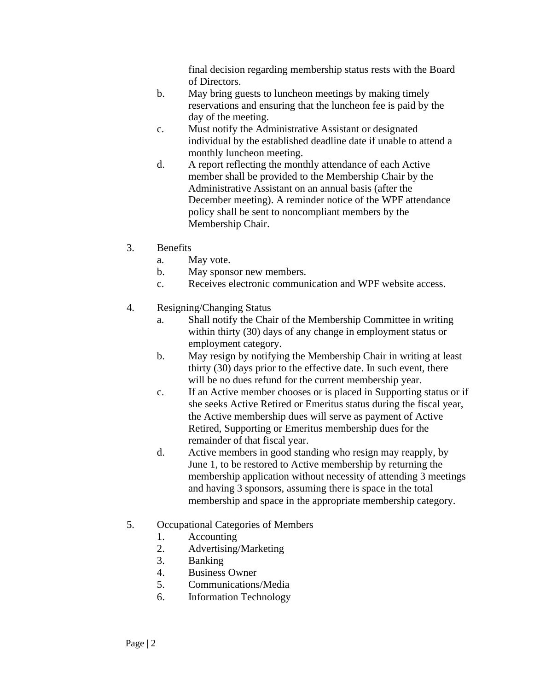final decision regarding membership status rests with the Board of Directors.

- b. May bring guests to luncheon meetings by making timely reservations and ensuring that the luncheon fee is paid by the day of the meeting.
- c. Must notify the Administrative Assistant or designated individual by the established deadline date if unable to attend a monthly luncheon meeting.
- d. A report reflecting the monthly attendance of each Active member shall be provided to the Membership Chair by the Administrative Assistant on an annual basis (after the December meeting). A reminder notice of the WPF attendance policy shall be sent to noncompliant members by the Membership Chair.
- 3. Benefits
	- a. May vote.
	- b. May sponsor new members.
	- c. Receives electronic communication and WPF website access.
- 4. Resigning/Changing Status
	- a. Shall notify the Chair of the Membership Committee in writing within thirty (30) days of any change in employment status or employment category.
	- b. May resign by notifying the Membership Chair in writing at least thirty (30) days prior to the effective date. In such event, there will be no dues refund for the current membership year.
	- c. If an Active member chooses or is placed in Supporting status or if she seeks Active Retired or Emeritus status during the fiscal year, the Active membership dues will serve as payment of Active Retired, Supporting or Emeritus membership dues for the remainder of that fiscal year.
	- d. Active members in good standing who resign may reapply, by June 1, to be restored to Active membership by returning the membership application without necessity of attending 3 meetings and having 3 sponsors, assuming there is space in the total membership and space in the appropriate membership category.
- 5. Occupational Categories of Members
	- 1. Accounting
	- 2. Advertising/Marketing
	- 3. Banking
	- 4. Business Owner
	- 5. Communications/Media
	- 6. Information Technology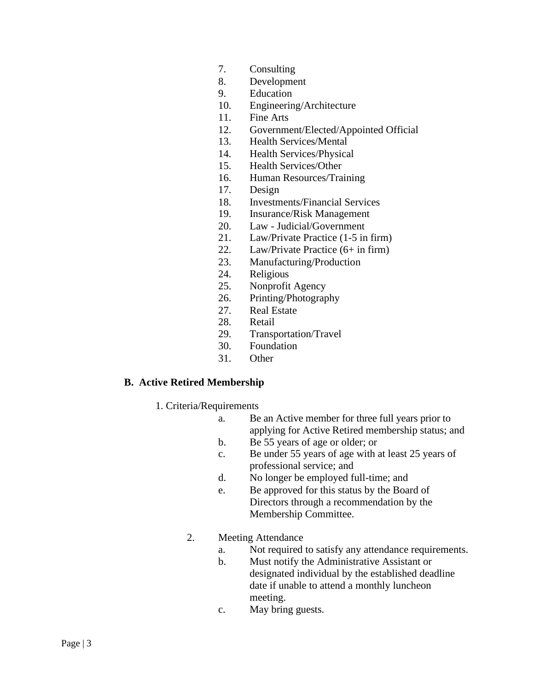- 7. Consulting
- 8. Development
- 9. Education
- 10. Engineering/Architecture
- 11. Fine Arts
- 12. Government/Elected/Appointed Official
- 13. Health Services/Mental
- 14. Health Services/Physical
- 15. Health Services/Other
- 16. Human Resources/Training
- 17. Design
- 18. Investments/Financial Services
- 19. Insurance/Risk Management
- 20. Law Judicial/Government
- 21. Law/Private Practice (1-5 in firm)
- 22. Law/Private Practice (6+ in firm)
- 23. Manufacturing/Production
- 24. Religious
- 25. Nonprofit Agency
- 26. Printing/Photography
- 27. Real Estate
- 28. Retail
- 29. Transportation/Travel
- 30. Foundation
- 31. Other

## **B. Active Retired Membership**

- 1. Criteria/Requirements
	- a. Be an Active member for three full years prior to applying for Active Retired membership status; and
	- b. Be 55 years of age or older; or
	- c. Be under 55 years of age with at least 25 years of professional service; and
	- d. No longer be employed full-time; and
	- e. Be approved for this status by the Board of Directors through a recommendation by the Membership Committee.
	- 2. Meeting Attendance
		- a. Not required to satisfy any attendance requirements.
		- b. Must notify the Administrative Assistant or designated individual by the established deadline date if unable to attend a monthly luncheon meeting.
		- c. May bring guests.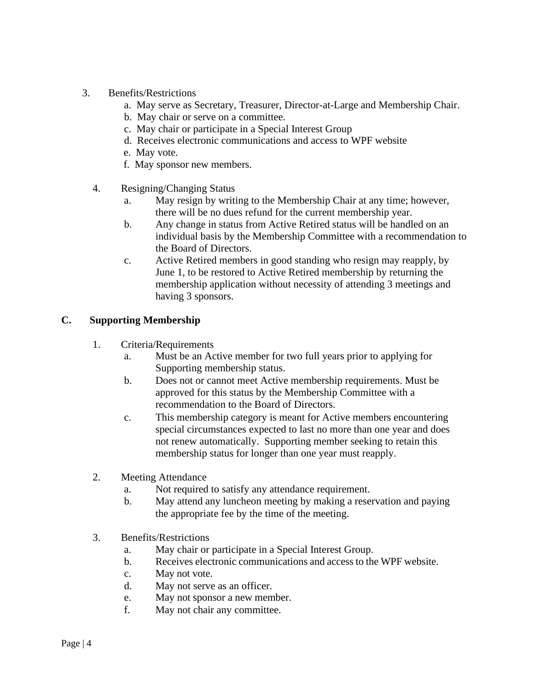- 3. Benefits/Restrictions
	- a. May serve as Secretary, Treasurer, Director-at-Large and Membership Chair.
	- b. May chair or serve on a committee.
	- c. May chair or participate in a Special Interest Group
	- d. Receives electronic communications and access to WPF website
	- e. May vote.
	- f. May sponsor new members.
	- 4. Resigning/Changing Status
		- a. May resign by writing to the Membership Chair at any time; however, there will be no dues refund for the current membership year.
		- b. Any change in status from Active Retired status will be handled on an individual basis by the Membership Committee with a recommendation to the Board of Directors.
		- c. Active Retired members in good standing who resign may reapply, by June 1, to be restored to Active Retired membership by returning the membership application without necessity of attending 3 meetings and having 3 sponsors.

#### **C. Supporting Membership**

- 1. Criteria/Requirements
	- a. Must be an Active member for two full years prior to applying for Supporting membership status.
	- b. Does not or cannot meet Active membership requirements. Must be approved for this status by the Membership Committee with a recommendation to the Board of Directors.
	- c. This membership category is meant for Active members encountering special circumstances expected to last no more than one year and does not renew automatically. Supporting member seeking to retain this membership status for longer than one year must reapply.
- 2. Meeting Attendance
	- a. Not required to satisfy any attendance requirement.
	- b. May attend any luncheon meeting by making a reservation and paying the appropriate fee by the time of the meeting.
- 3. Benefits/Restrictions
	- a. May chair or participate in a Special Interest Group.
	- b. Receives electronic communications and access to the WPF website.
	- c. May not vote.
	- d. May not serve as an officer.
	- e. May not sponsor a new member.
	- f. May not chair any committee.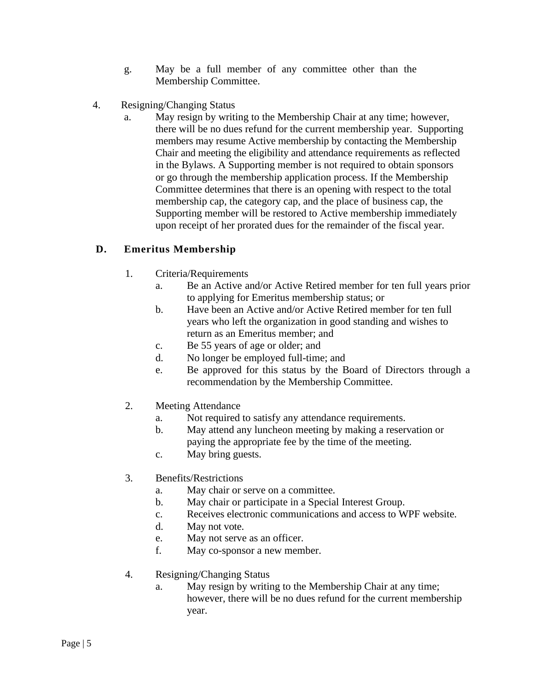- g. May be a full member of any committee other than the Membership Committee.
- 4. Resigning/Changing Status
	- a. May resign by writing to the Membership Chair at any time; however, there will be no dues refund for the current membership year. Supporting members may resume Active membership by contacting the Membership Chair and meeting the eligibility and attendance requirements as reflected in the Bylaws. A Supporting member is not required to obtain sponsors or go through the membership application process. If the Membership Committee determines that there is an opening with respect to the total membership cap, the category cap, and the place of business cap, the Supporting member will be restored to Active membership immediately upon receipt of her prorated dues for the remainder of the fiscal year.

# **D. Emeritus Membership**

- 1. Criteria/Requirements
	- a. Be an Active and/or Active Retired member for ten full years prior to applying for Emeritus membership status; or
	- b. Have been an Active and/or Active Retired member for ten full years who left the organization in good standing and wishes to return as an Emeritus member; and
	- c. Be 55 years of age or older; and
	- d. No longer be employed full-time; and
	- e. Be approved for this status by the Board of Directors through a recommendation by the Membership Committee.
- 2. Meeting Attendance
	- a. Not required to satisfy any attendance requirements.
	- b. May attend any luncheon meeting by making a reservation or paying the appropriate fee by the time of the meeting.
	- c. May bring guests.
- 3. Benefits/Restrictions
	- a. May chair or serve on a committee.
	- b. May chair or participate in a Special Interest Group.
	- c. Receives electronic communications and access to WPF website.
	- d. May not vote.
	- e. May not serve as an officer.
	- f. May co-sponsor a new member.
- 4. Resigning/Changing Status
	- a. May resign by writing to the Membership Chair at any time; however, there will be no dues refund for the current membership year.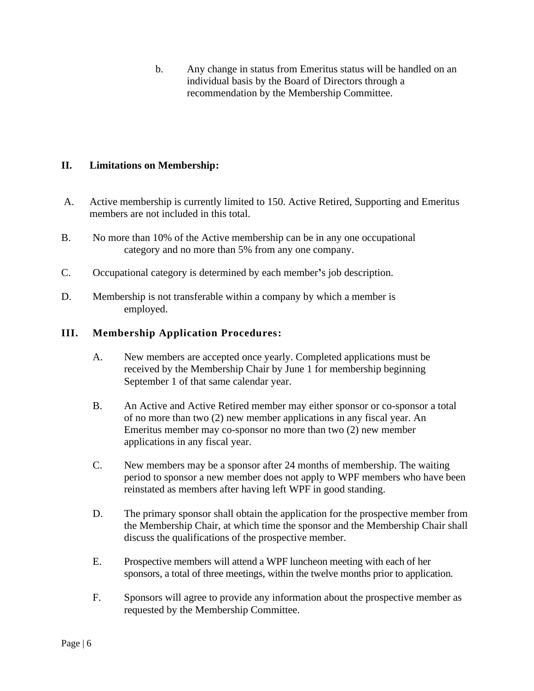b. Any change in status from Emeritus status will be handled on an individual basis by the Board of Directors through a recommendation by the Membership Committee.

# **II. Limitations on Membership:**

- A. Active membership is currently limited to 150. Active Retired, Supporting and Emeritus members are not included in this total.
- B. No more than 10% of the Active membership can be in any one occupational category and no more than 5% from any one company.
- C. Occupational category is determined by each member**'**s job description.
- D. Membership is not transferable within a company by which a member is employed.

## **III. Membership Application Procedures:**

- A. New members are accepted once yearly. Completed applications must be received by the Membership Chair by June 1 for membership beginning September 1 of that same calendar year.
- B. An Active and Active Retired member may either sponsor or co-sponsor a total of no more than two (2) new member applications in any fiscal year. An Emeritus member may co-sponsor no more than two (2) new member applications in any fiscal year.
- C. New members may be a sponsor after 24 months of membership. The waiting period to sponsor a new member does not apply to WPF members who have been reinstated as members after having left WPF in good standing.
- D. The primary sponsor shall obtain the application for the prospective member from the Membership Chair, at which time the sponsor and the Membership Chair shall discuss the qualifications of the prospective member.
- E. Prospective members will attend a WPF luncheon meeting with each of her sponsors, a total of three meetings, within the twelve months prior to application.
- F. Sponsors will agree to provide any information about the prospective member as requested by the Membership Committee.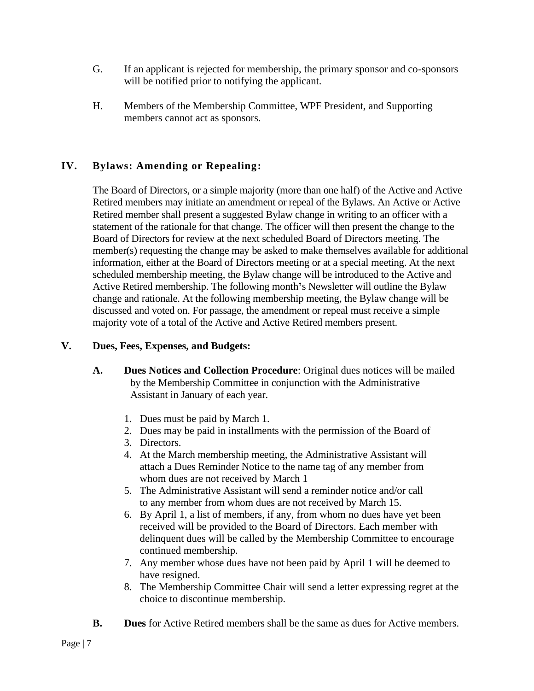- G. If an applicant is rejected for membership, the primary sponsor and co-sponsors will be notified prior to notifying the applicant.
- H. Members of the Membership Committee, WPF President, and Supporting members cannot act as sponsors.

# **IV. Bylaws: Amending or Repealing:**

The Board of Directors, or a simple majority (more than one half) of the Active and Active Retired members may initiate an amendment or repeal of the Bylaws. An Active or Active Retired member shall present a suggested Bylaw change in writing to an officer with a statement of the rationale for that change. The officer will then present the change to the Board of Directors for review at the next scheduled Board of Directors meeting. The member(s) requesting the change may be asked to make themselves available for additional information, either at the Board of Directors meeting or at a special meeting. At the next scheduled membership meeting, the Bylaw change will be introduced to the Active and Active Retired membership. The following month**'**s Newsletter will outline the Bylaw change and rationale. At the following membership meeting, the Bylaw change will be discussed and voted on. For passage, the amendment or repeal must receive a simple majority vote of a total of the Active and Active Retired members present.

## **V. Dues, Fees, Expenses, and Budgets:**

- **A. Dues Notices and Collection Procedure**: Original dues notices will be mailed by the Membership Committee in conjunction with the Administrative Assistant in January of each year.
	- 1. Dues must be paid by March 1.
	- 2. Dues may be paid in installments with the permission of the Board of
	- 3. Directors.
	- 4. At the March membership meeting, the Administrative Assistant will attach a Dues Reminder Notice to the name tag of any member from whom dues are not received by March 1
	- 5. The Administrative Assistant will send a reminder notice and/or call to any member from whom dues are not received by March 15.
	- 6. By April 1, a list of members, if any, from whom no dues have yet been received will be provided to the Board of Directors. Each member with delinquent dues will be called by the Membership Committee to encourage continued membership.
	- 7. Any member whose dues have not been paid by April 1 will be deemed to have resigned.
	- 8. The Membership Committee Chair will send a letter expressing regret at the choice to discontinue membership.
- **B. Dues** for Active Retired members shall be the same as dues for Active members.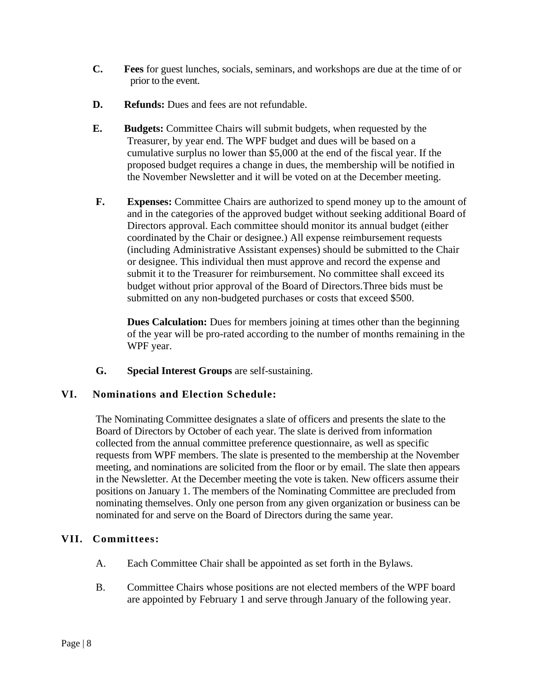- **C. Fees** for guest lunches, socials, seminars, and workshops are due at the time of or prior to the event.
- **D. Refunds:** Dues and fees are not refundable.
- **E. Budgets:** Committee Chairs will submit budgets, when requested by the Treasurer, by year end. The WPF budget and dues will be based on a cumulative surplus no lower than \$5,000 at the end of the fiscal year. If the proposed budget requires a change in dues, the membership will be notified in the November Newsletter and it will be voted on at the December meeting.
- **F. Expenses:** Committee Chairs are authorized to spend money up to the amount of and in the categories of the approved budget without seeking additional Board of Directors approval. Each committee should monitor its annual budget (either coordinated by the Chair or designee.) All expense reimbursement requests (including Administrative Assistant expenses) should be submitted to the Chair or designee. This individual then must approve and record the expense and submit it to the Treasurer for reimbursement. No committee shall exceed its budget without prior approval of the Board of Directors.Three bids must be submitted on any non-budgeted purchases or costs that exceed \$500.

**Dues Calculation:** Dues for members joining at times other than the beginning of the year will be pro-rated according to the number of months remaining in the WPF year.

**G. Special Interest Groups** are self-sustaining.

## **VI. Nominations and Election Schedule:**

The Nominating Committee designates a slate of officers and presents the slate to the Board of Directors by October of each year. The slate is derived from information collected from the annual committee preference questionnaire, as well as specific requests from WPF members. The slate is presented to the membership at the November meeting, and nominations are solicited from the floor or by email. The slate then appears in the Newsletter. At the December meeting the vote is taken. New officers assume their positions on January 1. The members of the Nominating Committee are precluded from nominating themselves. Only one person from any given organization or business can be nominated for and serve on the Board of Directors during the same year.

#### **VII. Committees:**

- A. Each Committee Chair shall be appointed as set forth in the Bylaws.
- B. Committee Chairs whose positions are not elected members of the WPF board are appointed by February 1 and serve through January of the following year.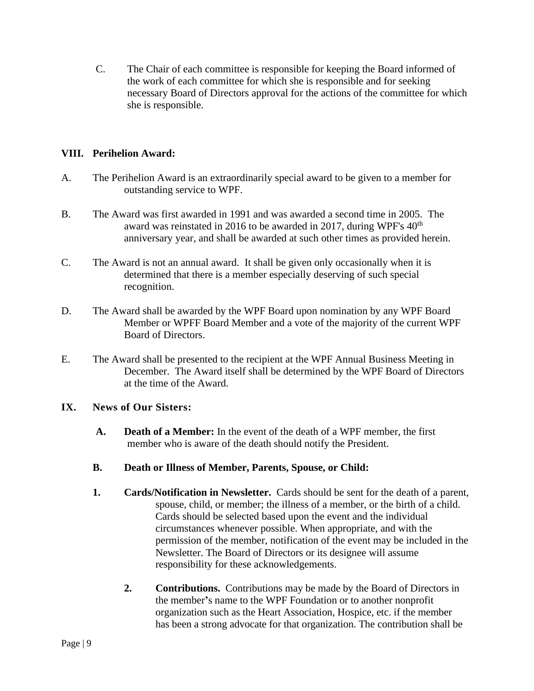C. The Chair of each committee is responsible for keeping the Board informed of the work of each committee for which she is responsible and for seeking necessary Board of Directors approval for the actions of the committee for which she is responsible.

### **VIII. Perihelion Award:**

- A. The Perihelion Award is an extraordinarily special award to be given to a member for outstanding service to WPF.
- B. The Award was first awarded in 1991 and was awarded a second time in 2005. The award was reinstated in 2016 to be awarded in 2017, during WPF's  $40<sup>th</sup>$ anniversary year, and shall be awarded at such other times as provided herein.
- C. The Award is not an annual award. It shall be given only occasionally when it is determined that there is a member especially deserving of such special recognition.
- D. The Award shall be awarded by the WPF Board upon nomination by any WPF Board Member or WPFF Board Member and a vote of the majority of the current WPF Board of Directors.
- E. The Award shall be presented to the recipient at the WPF Annual Business Meeting in December. The Award itself shall be determined by the WPF Board of Directors at the time of the Award.

#### **IX. News of Our Sisters:**

- **A. Death of a Member:** In the event of the death of a WPF member, the first member who is aware of the death should notify the President.
- **B. Death or Illness of Member, Parents, Spouse, or Child:**
- **1. Cards/Notification in Newsletter.** Cards should be sent for the death of a parent, spouse, child, or member; the illness of a member, or the birth of a child. Cards should be selected based upon the event and the individual circumstances whenever possible. When appropriate, and with the permission of the member, notification of the event may be included in the Newsletter. The Board of Directors or its designee will assume responsibility for these acknowledgements.
	- **2. Contributions.** Contributions may be made by the Board of Directors in the member**'**s name to the WPF Foundation or to another nonprofit organization such as the Heart Association, Hospice, etc. if the member has been a strong advocate for that organization. The contribution shall be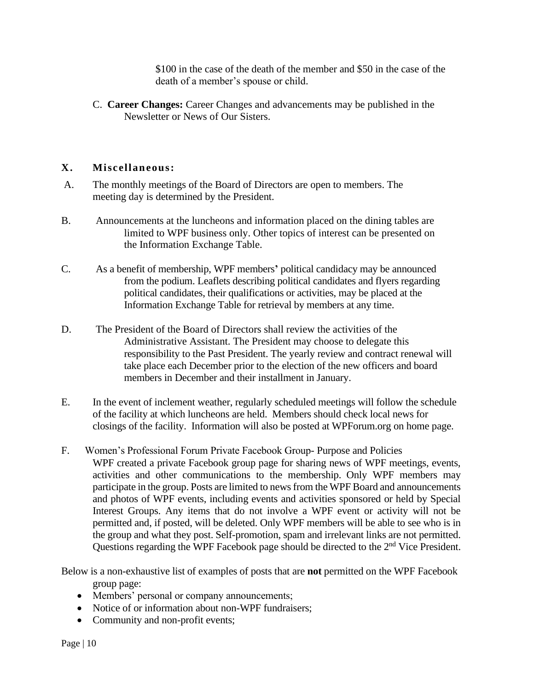\$100 in the case of the death of the member and \$50 in the case of the death of a member's spouse or child.

C. **Career Changes:** Career Changes and advancements may be published in the Newsletter or News of Our Sisters.

## **X. Miscellaneous:**

- A. The monthly meetings of the Board of Directors are open to members. The meeting day is determined by the President.
- B. Announcements at the luncheons and information placed on the dining tables are limited to WPF business only. Other topics of interest can be presented on the Information Exchange Table.
- C. As a benefit of membership, WPF members**'** political candidacy may be announced from the podium. Leaflets describing political candidates and flyers regarding political candidates, their qualifications or activities, may be placed at the Information Exchange Table for retrieval by members at any time.
- D. The President of the Board of Directors shall review the activities of the Administrative Assistant. The President may choose to delegate this responsibility to the Past President. The yearly review and contract renewal will take place each December prior to the election of the new officers and board members in December and their installment in January.
- E. In the event of inclement weather, regularly scheduled meetings will follow the schedule of the facility at which luncheons are held. Members should check local news for closings of the facility. Information will also be posted at WPForum.org on home page.
- F. Women's Professional Forum Private Facebook Group- Purpose and Policies WPF created a private Facebook group page for sharing news of WPF meetings, events, activities and other communications to the membership. Only WPF members may participate in the group. Posts are limited to news from the WPF Board and announcements and photos of WPF events, including events and activities sponsored or held by Special Interest Groups. Any items that do not involve a WPF event or activity will not be permitted and, if posted, will be deleted. Only WPF members will be able to see who is in the group and what they post. Self-promotion, spam and irrelevant links are not permitted. Questions regarding the WPF Facebook page should be directed to the 2<sup>nd</sup> Vice President.

Below is a non-exhaustive list of examples of posts that are **not** permitted on the WPF Facebook group page:

- Members' personal or company announcements;
- Notice of or information about non-WPF fundraisers:
- Community and non-profit events;